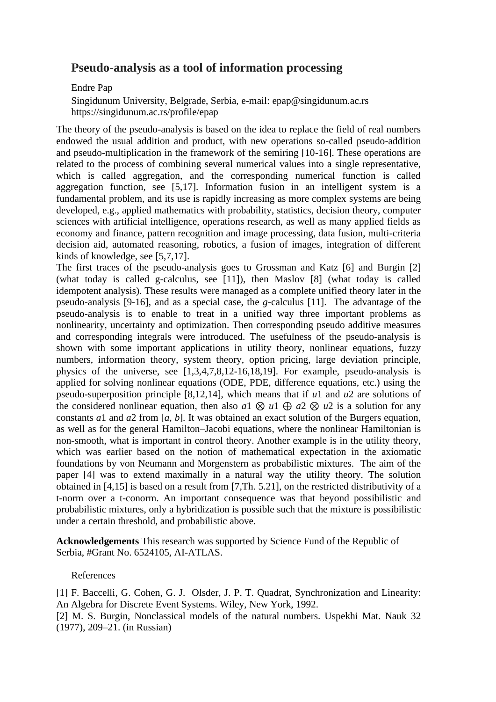## **Pseudo-analysis as a tool of information processing**

## Endre Pap

 Singidunum University, Belgrade, Serbia, e-mail: epap@singidunum.ac.rs https://singidunum.ac.rs/profile/epap

The theory of the pseudo-analysis is based on the idea to replace the field of real numbers endowed the usual addition and product, with new operations so-called pseudo-addition and pseudo-multiplication in the framework of the semiring [10-16]. These operations are related to the process of combining several numerical values into a single representative, which is called aggregation, and the corresponding numerical function is called aggregation function, see [5,17]. Information fusion in an intelligent system is a fundamental problem, and its use is rapidly increasing as more complex systems are being developed, e.g., applied mathematics with probability, statistics, decision theory, computer sciences with artificial intelligence, operations research, as well as many applied fields as economy and finance, pattern recognition and image processing, data fusion, multi-criteria decision aid, automated reasoning, robotics, a fusion of images, integration of different kinds of knowledge, see [5,7,17].

The first traces of the pseudo-analysis goes to Grossman and Katz [6] and Burgin [2] (what today is called g-calculus, see [11]), then Maslov [8] (what today is called idempotent analysis). These results were managed as a complete unified theory later in the pseudo-analysis [9-16], and as a special case, the *g*-calculus [11]. The advantage of the pseudo-analysis is to enable to treat in a unified way three important problems as nonlinearity, uncertainty and optimization. Then corresponding pseudo additive measures and corresponding integrals were introduced. The usefulness of the pseudo-analysis is shown with some important applications in utility theory, nonlinear equations, fuzzy numbers, information theory, system theory, option pricing, large deviation principle, physics of the universe, see [1,3,4,7,8,12-16,18,19]. For example, pseudo-analysis is applied for solving nonlinear equations (ODE, PDE, difference equations, etc.) using the pseudo-superposition principle [8,12,14], which means that if *u*1 and *u*2 are solutions of the considered nonlinear equation, then also  $a_1 \otimes u_1 \oplus a_2 \otimes u_2$  is a solution for any constants *a*1 and *a*2 from [*a, b*]*.* It was obtained an exact solution of the Burgers equation, as well as for the general Hamilton–Jacobi equations, where the nonlinear Hamiltonian is non-smooth, what is important in control theory. Another example is in the utility theory, which was earlier based on the notion of mathematical expectation in the axiomatic foundations by von Neumann and Morgenstern as probabilistic mixtures. The aim of the paper [4] was to extend maximally in a natural way the utility theory. The solution obtained in [4,15] is based on a result from [7,Th. 5.21], on the restricted distributivity of a t-norm over a t-conorm. An important consequence was that beyond possibilistic and probabilistic mixtures, only a hybridization is possible such that the mixture is possibilistic under a certain threshold, and probabilistic above.

**Acknowledgements** This research was supported by Science Fund of the Republic of Serbia, #Grant No. 6524105, AI-ATLAS.

## References

[1] F. Baccelli, G. Cohen, G. J. Olsder, J. P. T. Quadrat, Synchronization and Linearity: An Algebra for Discrete Event Systems. Wiley, New York, 1992. [2] M. S. Burgin, Nonclassical models of the natural numbers. Uspekhi Mat. Nauk 32 (1977), 209–21. (in Russian)